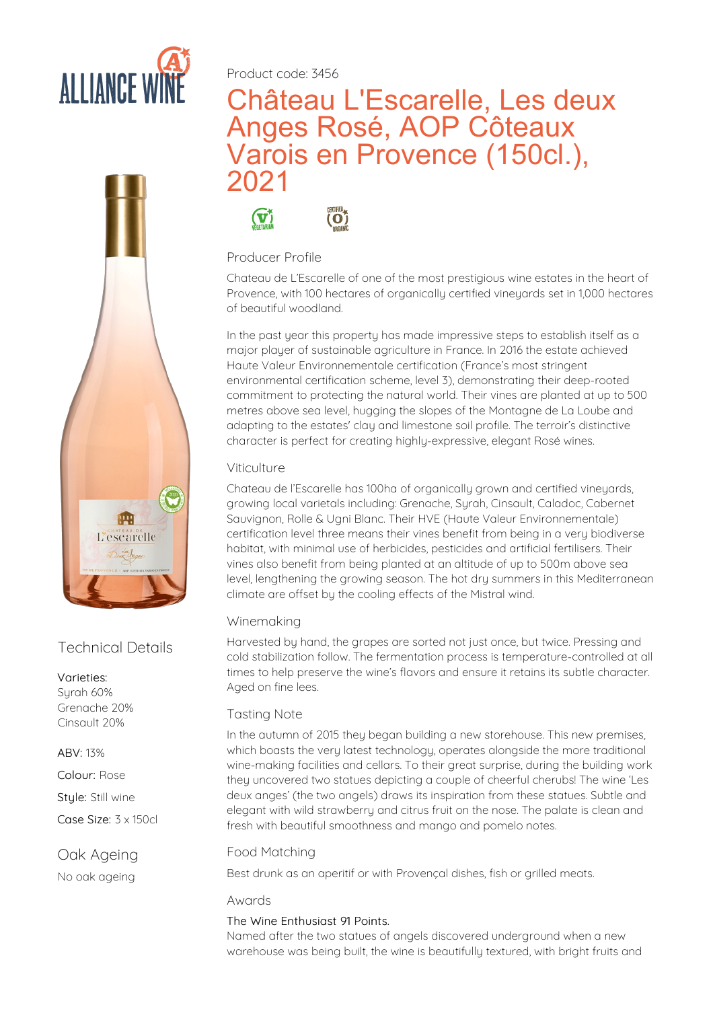



## Technical Details

#### Varieties:

Surah 60% Grenache 20% Cinsault 20%

ABV: 13%

Colour: Rose

Stule: Still wine

Case Size: 3 x 150cl

### Oak Ageing

No oak ageing

Product code: 3456

# Château L'Escarelle, Les deux Anges Rosé, AOP Côteaux Varois en Provence (150cl.), 2021



#### Producer Profile

Chateau de L'Escarelle of one of the most prestigious wine estates in the heart of Provence, with 100 hectares of organically certified vineyards set in 1,000 hectares of beautiful woodland.

In the past year this property has made impressive steps to establish itself as a major player of sustainable agriculture in France. In 2016 the estate achieved Haute Valeur Environnementale certification (France's most stringent environmental certification scheme, level 3), demonstrating their deep-rooted commitment to protecting the natural world. Their vines are planted at up to 500 metres above sea level, hugging the slopes of the Montagne de La Loube and adapting to the estates' clay and limestone soil profile. The terroir's distinctive character is perfect for creating highly-expressive, elegant Rosé wines.

### Viticulture

Chateau de l'Escarelle has 100ha of organically grown and certified vineyards, growing local varietals including: Grenache, Syrah, Cinsault, Caladoc, Cabernet Sauvignon, Rolle & Ugni Blanc. Their HVE (Haute Valeur Environnementale) certification level three means their vines benefit from being in a very biodiverse habitat, with minimal use of herbicides, pesticides and artificial fertilisers. Their vines also benefit from being planted at an altitude of up to 500m above sea level, lengthening the growing season. The hot dry summers in this Mediterranean climate are offset by the cooling effects of the Mistral wind.

### Winemaking

Harvested by hand, the grapes are sorted not just once, but twice. Pressing and cold stabilization follow. The fermentation process is temperature-controlled at all times to help preserve the wine's flavors and ensure it retains its subtle character.<br>Aged on fine lees.

#### Tasting Note

In the autumn of 2015 they began building a new storehouse. This new premises, which boasts the very latest technology, operates alongside the more traditional wine-making facilities and cellars. To their great surprise, during the building work they uncovered two statues depicting a couple of cheerful cherubs! The wine 'Les deux anges' (the two angels) draws its inspiration from these statues. Subtle and elegant with wild strawberry and citrus fruit on the nose. The palate is clean and fresh with beautiful smoothness and mango and pomelo notes.

#### Food Matching

Best drunk as an aperitif or with Provencal dishes, fish or grilled meats.

#### Awards

The Wine Enthusiast 91 Points.<br>Named after the two statues of angels discovered underground when a new warehouse was being built, the wine is beautifully textured, with bright fruits and